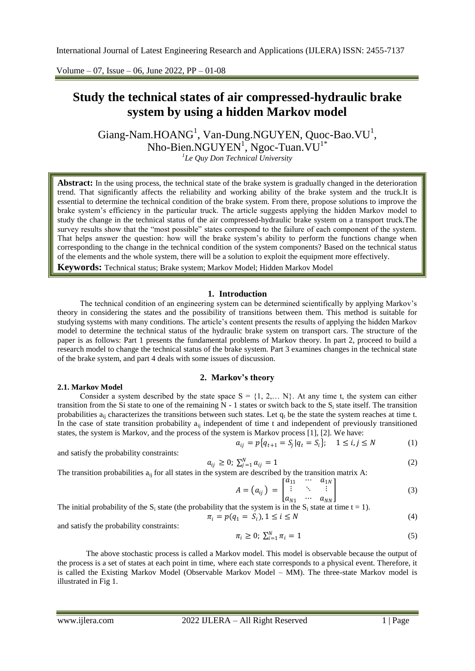Volume – 07, Issue – 06, June 2022, PP – 01-08

# **Study the technical states of air compressed-hydraulic brake system by using a hidden Markov model**

 $\text{Giang-Nam.HOANG}^1$ ,  $\text{Van-Dung.NGUYEN}$ ,  $\text{Quoc-Bao.VU}^1$ , Nho-Bien.NGUYEN<sup>1</sup>, Ngoc-Tuan.VU<sup>1\*</sup> *1 Le Quy Don Technical University*

**Abstract:** In the using process, the technical state of the brake system is gradually changed in the deterioration trend. That significantly affects the reliability and working ability of the brake system and the truck.It is essential to determine the technical condition of the brake system. From there, propose solutions to improve the brake system's efficiency in the particular truck. The article suggests applying the hidden Markov model to study the change in the technical status of the air compressed-hydraulic brake system on a transport truck.The survey results show that the "most possible" states correspond to the failure of each component of the system. That helps answer the question: how will the brake system's ability to perform the functions change when corresponding to the change in the technical condition of the system components? Based on the technical status of the elements and the whole system, there will be a solution to exploit the equipment more effectively.

**Keywords:** Technical status; Brake system; Markov Model; Hidden Markov Model

## **1. Introduction**

The technical condition of an engineering system can be determined scientifically by applying Markov's theory in considering the states and the possibility of transitions between them. This method is suitable for studying systems with many conditions. The article's content presents the results of applying the hidden Markov model to determine the technical status of the hydraulic brake system on transport cars. The structure of the paper is as follows: Part 1 presents the fundamental problems of Markov theory. In part 2, proceed to build a research model to change the technical status of the brake system. Part 3 examines changes in the technical state of the brake system, and part 4 deals with some issues of discussion.

#### **2. Markov's theory**

#### **2.1. Markov Model**

Consider a system described by the state space  $S = \{1, 2,... N\}$ . At any time t, the system can either transition from the Si state to one of the remaining  $N - 1$  states or switch back to the S<sub>i</sub> state itself. The transition probabilities  $a_{ii}$  characterizes the transitions between such states. Let  $q_t$  be the state the system reaches at time t. In the case of state transition probability  $a_{ii}$  independent of time t and independent of previously transitioned states, the system is Markov, and the process of the system is Markov process [1], [2]. We have:

$$
a_{ij} = p\{q_{t+1} = S_j | q_t = S_i\}; \quad 1 \le i, j \le N
$$
 (1)

and satisfy the probability constraints:

$$
a_{ij} \ge 0; \ \sum_{j=1}^{N} a_{ij} = 1 \tag{2}
$$

The transition probabilities  $a_{ij}$  for all states in the system are described by the transition matrix A:

$$
A = (a_{ij}) = \begin{bmatrix} \dot{a}_{11} & \cdots & a_{1N} \\ \vdots & \ddots & \vdots \\ a_{N1} & \cdots & a_{NN} \end{bmatrix}
$$
 (3)

The initial probability of the S<sub>i</sub> state (the probability that the system is in the S<sub>i</sub> state at time 
$$
t = 1
$$
).

$$
\pi_i = p(q_1 = S_i), 1 \le i \le N
$$
\n(4)

and satisfy the probability constraints:

$$
\pi_i \ge 0; \ \sum_{i=1}^N \pi_i = 1 \tag{5}
$$

The above stochastic process is called a Markov model. This model is observable because the output of the process is a set of states at each point in time, where each state corresponds to a physical event. Therefore, it is called the Existing Markov Model (Observable Markov Model – MM). The three-state Markov model is illustrated in Fig 1.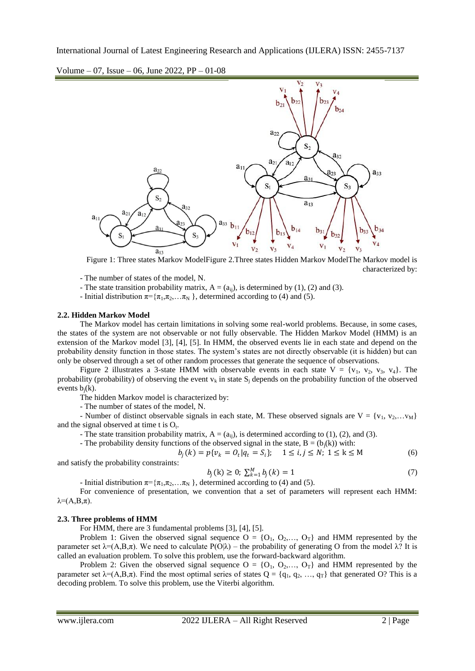Volume – 07, Issue – 06, June 2022, PP – 01-08



Figure 1: Three states Markov ModelFigure 2.Three states Hidden Markov ModelThe Markov model is characterized by:

- The number of states of the model, N.

- The state transition probability matrix,  $A = (a_{ii})$ , is determined by (1), (2) and (3).

- Initial distribution  $\pi = {\pi_1, \pi_2, \dots, \pi_N}$ , determined according to (4) and (5).

#### **2.2. Hidden Markov Model**

The Markov model has certain limitations in solving some real-world problems. Because, in some cases, the states of the system are not observable or not fully observable. The Hidden Markov Model (HMM) is an extension of the Markov model [3], [4], [5]. In HMM, the observed events lie in each state and depend on the probability density function in those states. The system's states are not directly observable (it is hidden) but can only be observed through a set of other random processes that generate the sequence of observations.

Figure 2 illustrates a 3-state HMM with observable events in each state  $V = \{v_1, v_2, v_3, v_4\}$ . The probability (probability) of observing the event  $v_k$  in state  $S_i$  depends on the probability function of the observed events  $b_i(k)$ .

The hidden Markov model is characterized by:

- The number of states of the model, N.

- Number of distinct observable signals in each state, M. These observed signals are  $V = \{v_1, v_2, \ldots, v_M\}$ and the signal observed at time t is  $O_t$ .

- The state transition probability matrix,  $A = (a_{ii})$ , is determined according to (1), (2), and (3).

- The probability density functions of the observed signal in the state,  $B = (b_i(k))$  with:

$$
b_j(k) = p\{v_k = 0_t | q_t = S_i\}; \quad 1 \le i, j \le N; \ 1 \le k \le M
$$
 (6)

and satisfy the probability constraints:

$$
b_j(k) \ge 0; \ \sum_{k=1}^{M} b_j(k) = 1 \tag{7}
$$

- Initial distribution π= {π<sub>1</sub>,π<sub>2</sub>, ...π<sub>N</sub> }, determined according to (4) and (5). For convenience of presentation, we convention that a set of parameters will represent each HMM: 
$$
\lambda = (A, B, \pi)
$$
.

#### **2.3. Three problems of HMM**

For HMM, there are 3 fundamental problems [3], [4], [5].

Problem 1: Given the observed signal sequence  $O = \{O_1, O_2, \ldots, O_T\}$  and HMM represented by the parameter set  $\lambda = (A, B, \pi)$ . We need to calculate  $P(O|\lambda)$  – the probability of generating O from the model λ? It is called an evaluation problem. To solve this problem, use the forward-backward algorithm.

Problem 2: Given the observed signal sequence  $O = \{O_1, O_2, \ldots, O_T\}$  and HMM represented by the parameter set  $\lambda = (A, B, \pi)$ . Find the most optimal series of states  $Q = \{q_1, q_2, ..., q_T\}$  that generated O? This is a decoding problem. To solve this problem, use the Viterbi algorithm.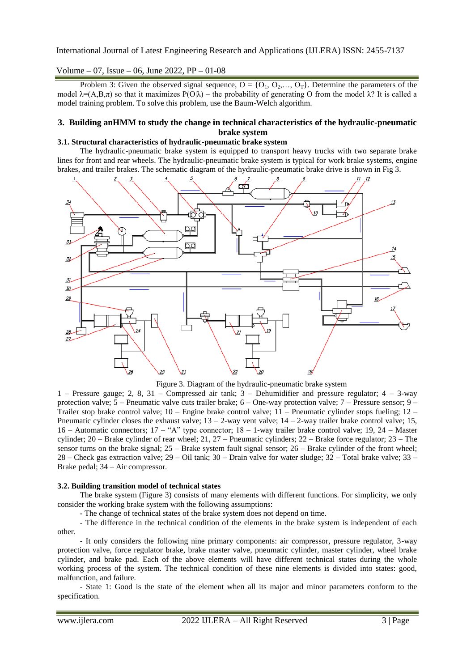Volume – 07, Issue – 06, June 2022, PP – 01-08

Problem 3: Given the observed signal sequence,  $O = \{O_1, O_2, \ldots, O_T\}$ . Determine the parameters of the model  $\lambda = (A, B, \pi)$  so that it maximizes  $P(O|\lambda)$  – the probability of generating O from the model λ? It is called a model training problem. To solve this problem, use the Baum-Welch algorithm.

# **3. Building anHMM to study the change in technical characteristics of the hydraulic-pneumatic brake system**

#### **3.1. Structural characteristics of hydraulic-pneumatic brake system**

The hydraulic-pneumatic brake system is equipped to transport heavy trucks with two separate brake lines for front and rear wheels. The hydraulic-pneumatic brake system is typical for work brake systems, engine brakes, and trailer brakes. The schematic diagram of the hydraulic-pneumatic brake drive is shown in Fig 3.





1 – Pressure gauge; 2, 8, 31 – Compressed air tank; 3 – Dehumidifier and pressure regulator; 4 – 3-way protection valve;  $5$  – Pneumatic valve cuts trailer brake;  $6$  – One-way protection valve;  $7$  – Pressure sensor;  $9$  – Trailer stop brake control valve;  $10$  – Engine brake control valve;  $11$  – Pneumatic cylinder stops fueling;  $12$  – Pneumatic cylinder closes the exhaust valve;  $13 - 2$ -way vent valve;  $14 - 2$ -way trailer brake control valve; 15, 16 – Automatic connectors; 17 – "A" type connector; 18 – 1-way trailer brake control valve; 19, 24 – Master cylinder;  $20$  – Brake cylinder of rear wheel;  $21$ ,  $27$  – Pneumatic cylinders;  $22$  – Brake force regulator;  $23$  – The sensor turns on the brake signal; 25 – Brake system fault signal sensor; 26 – Brake cylinder of the front wheel; 28 – Check gas extraction valve; 29 – Oil tank; 30 – Drain valve for water sludge; 32 – Total brake valve; 33 – Brake pedal; 34 – Air compressor.

#### **3.2. Building transition model of technical states**

The brake system (Figure 3) consists of many elements with different functions. For simplicity, we only consider the working brake system with the following assumptions:

- The change of technical states of the brake system does not depend on time.

- The difference in the technical condition of the elements in the brake system is independent of each other.

- It only considers the following nine primary components: air compressor, pressure regulator, 3-way protection valve, force regulator brake, brake master valve, pneumatic cylinder, master cylinder, wheel brake cylinder, and brake pad. Each of the above elements will have different technical states during the whole working process of the system. The technical condition of these nine elements is divided into states: good, malfunction, and failure.

- State 1: Good is the state of the element when all its major and minor parameters conform to the specification.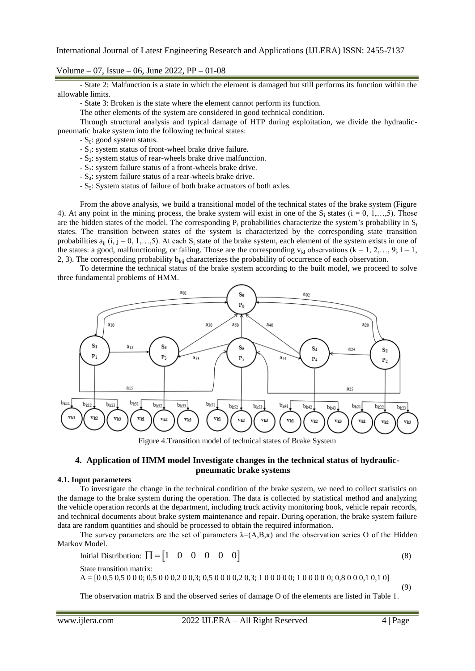Volume – 07, Issue – 06, June 2022, PP – 01-08

- State 2: Malfunction is a state in which the element is damaged but still performs its function within the allowable limits.

- State 3: Broken is the state where the element cannot perform its function.

The other elements of the system are considered in good technical condition.

Through structural analysis and typical damage of HTP during exploitation, we divide the hydraulicpneumatic brake system into the following technical states:

 $-S<sub>0</sub>$ : good system status.

- $-S<sub>1</sub>$ : system status of front-wheel brake drive failure.
- $-S<sub>2</sub>$ : system status of rear-wheels brake drive malfunction.
- $-S_3$ : system failure status of a front-wheels brake drive.
- $-S_4$ : system failure status of a rear-wheels brake drive.
- $-S<sub>5</sub>$ : System status of failure of both brake actuators of both axles.

From the above analysis, we build a transitional model of the technical states of the brake system (Figure 4). At any point in the mining process, the brake system will exist in one of the  $S_i$  states (i = 0, 1,…,5). Those are the hidden states of the model. The corresponding  $P_i$  probabilities characterize the system's probability in  $S_i$ states. The transition between states of the system is characterized by the corresponding state transition probabilities  $a_{ii}$  (i, j = 0, 1,...,5). At each  $S_i$  state of the brake system, each element of the system exists in one of the states: a good, malfunctioning, or failing. Those are the corresponding  $v_{k1}$  observations (k = 1, 2,..., 9; 1 = 1, 2, 3). The corresponding probability  $b_{kii}$  characterizes the probability of occurrence of each observation.

To determine the technical status of the brake system according to the built model, we proceed to solve three fundamental problems of HMM.



Figure 4.Transition model of technical states of Brake System

## **4. Application of HMM model Investigate changes in the technical status of hydraulicpneumatic brake systems**

#### **4.1. Input parameters**

To investigate the change in the technical condition of the brake system, we need to collect statistics on the damage to the brake system during the operation. The data is collected by statistical method and analyzing the vehicle operation records at the department, including truck activity monitoring book, vehicle repair records, and technical documents about brake system maintenance and repair. During operation, the brake system failure data are random quantities and should be processed to obtain the required information.

The survey parameters are the set of parameters  $\lambda = (A, B, \pi)$  and the observation series O of the Hidden Markov Model.

Initial Distribution:  $\prod = \begin{bmatrix} 1 & 0 & 0 & 0 & 0 & 0 \end{bmatrix}$ (8) State transition matrix:

A = [0 0,5 0,5 0 0 0; 0,5 0 0 0,2 0 0,3; 0,5 0 0 0 0,2 0,3; 1 0 0 0 0 0; 1 0 0 0 0 0; 0,8 0 0 0,1 0,1 0]

The observation matrix B and the observed series of damage O of the elements are listed in Table 1.

(9)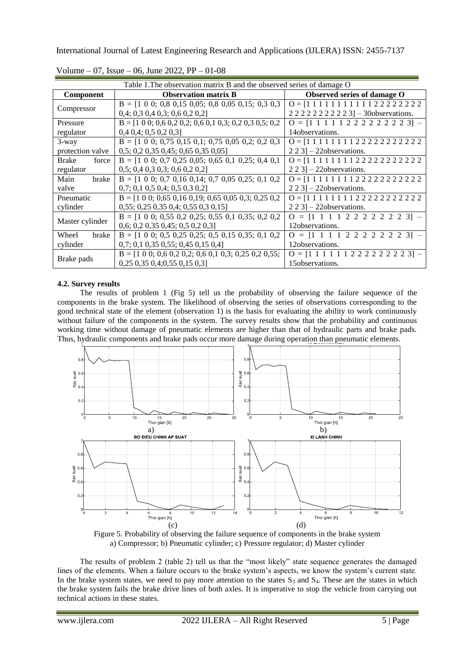| Table 1. The observation matrix B and the observed series of damage O |                                                                                  |                                                           |  |  |  |  |  |  |  |
|-----------------------------------------------------------------------|----------------------------------------------------------------------------------|-----------------------------------------------------------|--|--|--|--|--|--|--|
| <b>Component</b>                                                      | <b>Observation matrix B</b>                                                      | Observed series of damage O                               |  |  |  |  |  |  |  |
|                                                                       | $B = [1 \ 0 \ 0; \ 0, 8 \ 0, 15 \ 0, 05; \ 0, 8 \ 0, 05 \ 0, 15; \ 0, 3 \ 0, 3]$ | $0 = [1 1 1 1 1 1 1 1 1 1 1 2 2 2 2 2 2 2 2]$             |  |  |  |  |  |  |  |
| Compressor                                                            | 0,4;0,30,40,3;0,60,20,2                                                          | 2 2 2 2 2 2 2 2 2 3] - 30 observations.                   |  |  |  |  |  |  |  |
| Pressure                                                              | $B = [1 0 0; 0, 6 0, 2 0, 2; 0, 6 0, 1 0, 3; 0, 2 0, 3 0, 5; 0, 2]$              | $Q = [1 \ 1 \ 1 \ 1 \ 1 \ 2 \ 2 \ 2 \ 2 \ 2 \ 2 \ 2 \ 3]$ |  |  |  |  |  |  |  |
| regulator                                                             | $0,4$ 0,4; 0,5 0,2 0,3]                                                          | 14 observations.                                          |  |  |  |  |  |  |  |
| $3$ -way                                                              | $B = [1 \ 0 \ 0; 0,75 \ 0,15 \ 0,1; 0,75 \ 0,05 \ 0,2; 0,2 \ 0,3]$               | $Q = [1 1 1 1 1 1 1 1 2 2 2 2 2 2 2 2 2 2 2]$             |  |  |  |  |  |  |  |
| protection valve                                                      | 0,5; 0,2 0,35 0,45; 0,65 0,35 0,05                                               | $2\ 2\ 3$ ] – 22 observations.                            |  |  |  |  |  |  |  |
| <b>Brake</b><br>force                                                 | $B = [1 \ 0 \ 0; \ 0,7 \ 0,25 \ 0,05; \ 0,65 \ 0,1 \ 0,25; \ 0,4 \ 0,1]$         | $0 = [1 1 1 1 1 1 1 1 2 2 2 2 2 2 2 2 2 2 2]$             |  |  |  |  |  |  |  |
| regulator                                                             | 0,5; 0,4 0,3 0,3; 0,6 0,2 0,2                                                    | $2\ 2\ 3$ ] – 22 observations.                            |  |  |  |  |  |  |  |
| Main<br>brake                                                         | $B = [1 \ 0 \ 0; \ 0,7 \ 0,16 \ 0,14; \ 0,7 \ 0,05 \ 0,25; \ 0,1 \ 0,2]$         | $Q = [1 1 1 1 1 1 1 1 2 2 2 2 2 2 2 2 2 2 2]$             |  |  |  |  |  |  |  |
| valve                                                                 | 0,7; 0,1 0,5 0,4; 0,5 0,3 0,2                                                    | $2\ 2\ 3$ ] – 22 observations.                            |  |  |  |  |  |  |  |
| Pneumatic                                                             | $B = [1 0 0; 0, 65 0, 16 0, 19; 0, 65 0, 05 0, 3; 0, 25 0, 2]$                   | $0 = [1 1 1 1 1 1 1 1 2 2 2 2 2 2 2 2 2 2 2]$             |  |  |  |  |  |  |  |
| cylinder                                                              | 0,55; 0,25 0,35 0,4; 0,55 0,3 0,15                                               | $2\ 2\ 3$ ] – 22 observations.                            |  |  |  |  |  |  |  |
|                                                                       | $B = [1 \ 0 \ 0; 0,55 \ 0,2 \ 0,25; 0,55 \ 0,1 \ 0,35; 0,2 \ 0,2]$               | $Q = [1 \ 1 \ 1 \ 1 \ 2 \ 2 \ 2 \ 2 \ 2 \ 2 \ 2 \ 3]$ –   |  |  |  |  |  |  |  |
| Master cylinder                                                       | 0,6; 0,2 0,35 0,45; 0,5 0,2 0,3                                                  | 12 observations.                                          |  |  |  |  |  |  |  |
| Wheel<br>brake                                                        | $B = [1 \ 0 \ 0; 0.5 \ 0.25 \ 0.25; 0.5 \ 0.15 \ 0.35; 0.1 \ 0.2]$               | $Q = [1 \ 1 \ 1 \ 1 \ 2 \ 2 \ 2 \ 2 \ 2 \ 2 \ 2 \ 3]$ –   |  |  |  |  |  |  |  |
| cylinder                                                              | 0,7; 0,1 0,35 0,55; 0,45 0,15 0,4                                                | 12 observations.                                          |  |  |  |  |  |  |  |
|                                                                       | $B = [1 \ 0 \ 0; 0, 6 \ 0, 2 \ 0, 2; 0, 6 \ 0, 1 \ 0, 3; 0, 25 \ 0, 2 \ 0, 55;$  | $Q = [1 1 1 1 1 1 2 2 2 2 2 2 2 2 3]$                     |  |  |  |  |  |  |  |
| Brake pads                                                            | $0,25$ 0,35 0,4;0,55 0,15 0,3]                                                   | 15 observations.                                          |  |  |  |  |  |  |  |

Volume – 07, Issue – 06, June 2022, PP – 01-08

# **4.2. Survey results**

The results of problem 1 (Fig 5) tell us the probability of observing the failure sequence of the components in the brake system. The likelihood of observing the series of observations corresponding to the good technical state of the element (observation 1) is the basis for evaluating the ability to work continuously without failure of the components in the system. The survey results show that the probability and continuous working time without damage of pneumatic elements are higher than that of hydraulic parts and brake pads. Thus, hydraulic components and brake pads occur more damage during operation than pneumatic elements.



Figure 5. Probability of observing the failure sequence of components in the brake system a) Compressor; b) Pneumatic cylinder; c) Pressure regulator; d) Master cylinder

The results of problem 2 (table 2) tell us that the "most likely" state sequence generates the damaged lines of the elements. When a failure occurs to the brake system's aspects, we know the system's current state. In the brake system states, we need to pay more attention to the states  $S_3$  and  $S_4$ . These are the states in which the brake system fails the brake drive lines of both axles. It is imperative to stop the vehicle from carrying out technical actions in these states.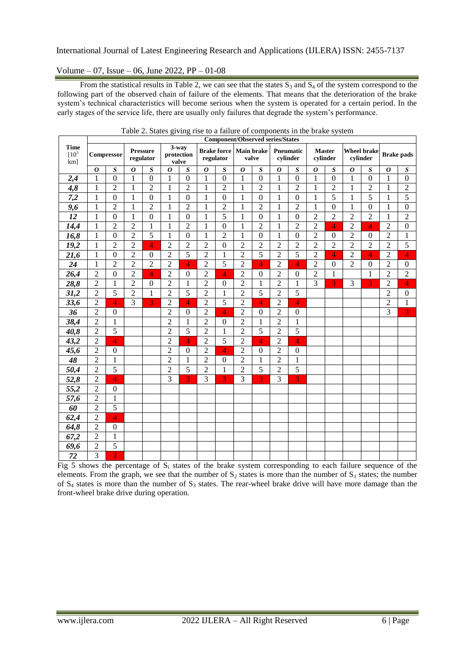# Volume – 07, Issue – 06, June 2022, PP – 01-08

From the statistical results in Table 2, we can see that the states  $S_3$  and  $S_4$  of the system correspond to the following part of the observed chain of failure of the elements. That means that the deterioration of the brake system's technical characteristics will become serious when the system is operated for a certain period. In the early stages of the service life, there are usually only failures that degrade the system's performance.

|                               | <b>Component/Observed series/States</b> |                  |                              |                  |                              |                  |                                 |                  |                            |                  |                       |                  |                           |                  |                                |                  |                   |                  |
|-------------------------------|-----------------------------------------|------------------|------------------------------|------------------|------------------------------|------------------|---------------------------------|------------------|----------------------------|------------------|-----------------------|------------------|---------------------------|------------------|--------------------------------|------------------|-------------------|------------------|
| <b>Time</b><br>$[10^3$<br>km] | Compressor                              |                  | <b>Pressure</b><br>regulator |                  | 3-way<br>protection<br>valve |                  | <b>Brake force</b><br>regulator |                  | <b>Main brake</b><br>valve |                  | Pneumatic<br>cylinder |                  | <b>Master</b><br>cylinder |                  | <b>Wheel brake</b><br>cvlinder |                  | <b>Brake pads</b> |                  |
|                               | $\boldsymbol{o}$                        | $\overline{S}$   | $\boldsymbol{o}$             | $\boldsymbol{S}$ | $\boldsymbol{o}$             | $\boldsymbol{S}$ | $\boldsymbol{o}$                | $\boldsymbol{S}$ | $\boldsymbol{o}$           | $\overline{s}$   | 0                     | $\boldsymbol{S}$ | $\boldsymbol{o}$          | $\boldsymbol{S}$ | $\boldsymbol{o}$               | $\boldsymbol{S}$ | $\boldsymbol{o}$  | $\boldsymbol{S}$ |
| 2,4                           | 1                                       | $\overline{0}$   | 1                            | $\overline{0}$   | $\mathbf{1}$                 | $\overline{0}$   | $\mathbf{1}$                    | $\boldsymbol{0}$ | $\mathbf{1}$               | $\mathbf{0}$     | $\mathbf{1}$          | $\boldsymbol{0}$ | $\mathbf{1}$              | $\overline{0}$   | 1                              | $\overline{0}$   | 1                 | $\overline{0}$   |
| 4,8                           | $\mathbf{1}$                            | $\overline{2}$   | $\mathbf{1}$                 | $\overline{2}$   | $\mathbf{1}$                 | $\overline{2}$   | $\mathbf{1}$                    | $\overline{2}$   | $\mathbbm{1}$              | $\overline{2}$   | $\mathbf{1}$          | $\overline{c}$   | $\mathbf{1}$              | $\overline{2}$   | $\mathbf{1}$                   | $\overline{2}$   | $\mathbf{1}$      | $\overline{2}$   |
| 7,2                           | $\mathbf{1}$                            | $\mathbf{0}$     | $\mathbf{1}$                 | $\mathbf{0}$     | $\mathbf{1}$                 | $\mathbf{0}$     | $\mathbf{1}$                    | $\overline{0}$   | $\mathbbm{1}$              | $\overline{0}$   | $\mathbf{1}$          | $\boldsymbol{0}$ | $\mathbf{1}$              | $\overline{5}$   | $\mathbf{1}$                   | 5                | 1                 | $\overline{5}$   |
| 9,6                           | 1                                       | $\overline{2}$   | $\mathbf{1}$                 | $\overline{c}$   | $\mathbf{1}$                 | $\overline{2}$   | $\mathbf{1}$                    | $\overline{2}$   | $\mathbf{1}$               | $\overline{2}$   | $\mathbf{1}$          | $\overline{c}$   | $\mathbf{1}$              | $\mathbf{0}$     | $\mathbf{1}$                   | $\boldsymbol{0}$ | 1                 | $\boldsymbol{0}$ |
| 12                            | $\mathbf{1}$                            | $\overline{0}$   | 1                            | $\overline{0}$   | $\mathbf{1}$                 | $\overline{0}$   | $\mathbf{1}$                    | $\overline{5}$   | $\mathbf{1}$               | $\mathbf{0}$     | $\mathbf{1}$          | $\mathbf{0}$     | $\overline{2}$            | $\overline{2}$   | $\overline{2}$                 | $\overline{2}$   | 1                 | $\overline{2}$   |
| 14,4                          | $\mathbf{1}$                            | $\overline{2}$   | $\overline{2}$               | $\mathbf{1}$     | $\mathbf{1}$                 | $\overline{2}$   | $\mathbf{1}$                    | $\boldsymbol{0}$ | $\mathbf{1}$               | $\overline{2}$   | $\mathbf{1}$          | $\overline{2}$   | $\overline{c}$            | 4                | $\overline{2}$                 | $\overline{4}$   | $\overline{2}$    | $\boldsymbol{0}$ |
| 16,8                          | $\mathbf{1}$                            | $\overline{0}$   | $\overline{2}$               | 5                | $\mathbf{1}$                 | $\mathbf{0}$     | $\mathbf{1}$                    | $\overline{2}$   | $\mathbbm{1}$              | $\overline{0}$   | $\mathbf{1}$          | $\boldsymbol{0}$ | $\overline{2}$            | $\mathbf{0}$     | $\overline{2}$                 | $\boldsymbol{0}$ | $\overline{2}$    | $\mathbf{1}$     |
| 19,2                          | $\mathbf{1}$                            | $\overline{2}$   | $\overline{2}$               | $\overline{4}$   | $\overline{2}$               | $\overline{2}$   | $\overline{2}$                  | $\overline{0}$   | $\overline{2}$             | $\overline{2}$   | $\overline{2}$        | $\overline{2}$   | $\overline{2}$            | $\overline{2}$   | $\overline{2}$                 | $\overline{2}$   | $\overline{2}$    | $\overline{5}$   |
| 21,6                          | $\mathbf{1}$                            | $\mathbf{0}$     | $\overline{2}$               | $\boldsymbol{0}$ | $\overline{2}$               | 5                | $\overline{2}$                  | $\mathbf{1}$     | $\overline{2}$             | $\overline{5}$   | $\overline{2}$        | 5                | $\overline{2}$            | $\overline{4}$   | $\overline{2}$                 | $\overline{4}$   | $\overline{2}$    | $\overline{4}$   |
| 24                            | 1                                       | $\overline{2}$   | $\overline{2}$               | $\overline{2}$   | $\overline{2}$               | 4                | $\overline{2}$                  | 5                | $\overline{2}$             | 4                | $\overline{2}$        | 4                | $\overline{2}$            | $\theta$         | $\overline{2}$                 | $\boldsymbol{0}$ | $\overline{2}$    | $\boldsymbol{0}$ |
| 26,4                          | $\overline{2}$                          | $\mathbf{0}$     | $\overline{2}$               | 4                | $\overline{2}$               | $\boldsymbol{0}$ | $\overline{2}$                  | 4                | $\overline{2}$             | $\boldsymbol{0}$ | $\overline{2}$        | $\boldsymbol{0}$ | $\overline{2}$            | $\mathbf{1}$     |                                | $\mathbf{1}$     | $\overline{2}$    | $\overline{2}$   |
| 28,8                          | $\overline{2}$                          | $\mathbf{1}$     | $\overline{2}$               | $\boldsymbol{0}$ | $\overline{2}$               | $\mathbf{1}$     | $\overline{2}$                  | $\mathbf{0}$     | $\overline{2}$             | $\mathbf{1}$     | $\overline{2}$        | $\mathbf{1}$     | $\overline{3}$            | $\overline{3}$   | $\overline{3}$                 | $\overline{3}$   | $\overline{2}$    | $\overline{4}$   |
| 31,2                          | $\overline{2}$                          | $\overline{5}$   | $\overline{2}$               | 1                | $\overline{2}$               | $\overline{5}$   | $\overline{2}$                  | $\mathbf{1}$     | $\overline{2}$             | 5                | $\overline{2}$        | $\overline{5}$   |                           |                  |                                |                  | $\overline{2}$    | $\mathbf{0}$     |
| 33,6                          | $\overline{2}$                          | 4                | $\overline{3}$               | $\overline{3}$   | $\overline{2}$               | $\overline{4}$   | $\overline{2}$                  | $\overline{5}$   | $\overline{2}$             | $\overline{4}$   | $\overline{2}$        | 4                |                           |                  |                                |                  | $\overline{2}$    | $\,1\,$          |
| 36                            | $\overline{2}$                          | $\overline{0}$   |                              |                  | $\overline{2}$               | $\overline{0}$   | $\overline{2}$                  | 4                | $\overline{2}$             | $\boldsymbol{0}$ | $\overline{2}$        | $\boldsymbol{0}$ |                           |                  |                                |                  | $\overline{3}$    | $\overline{3}$   |
| 38,4                          | $\overline{2}$                          | $\mathbf{1}$     |                              |                  | $\overline{2}$               | 1                | $\overline{2}$                  | $\mathbf{0}$     | $\overline{2}$             | $\mathbf{1}$     | $\overline{2}$        | $\mathbf{1}$     |                           |                  |                                |                  |                   |                  |
| 40,8                          | $\overline{2}$                          | $\overline{5}$   |                              |                  | $\overline{2}$               | $\overline{5}$   | $\overline{2}$                  | $\mathbf{1}$     | $\overline{2}$             | $\overline{5}$   | $\overline{2}$        | 5                |                           |                  |                                |                  |                   |                  |
| 43,2                          | $\overline{2}$                          | $\overline{4}$   |                              |                  | $\overline{c}$               | $\overline{4}$   | $\overline{2}$                  | 5                | $\overline{2}$             | $\overline{4}$   | $\overline{2}$        | $\overline{4}$   |                           |                  |                                |                  |                   |                  |
| 45,6                          | $\overline{2}$                          | $\boldsymbol{0}$ |                              |                  | $\overline{c}$               | $\boldsymbol{0}$ | $\overline{2}$                  | 4                | $\overline{2}$             | $\boldsymbol{0}$ | $\overline{2}$        | $\boldsymbol{0}$ |                           |                  |                                |                  |                   |                  |
| 48                            | $\overline{c}$                          | 1                |                              |                  | $\overline{2}$               | 1                | $\overline{2}$                  | $\overline{0}$   | $\overline{c}$             | $\mathbf 1$      | $\overline{2}$        | $\mathbf{1}$     |                           |                  |                                |                  |                   |                  |
| 50,4                          | $\overline{2}$                          | $\overline{5}$   |                              |                  | $\overline{2}$               | 5                | $\overline{2}$                  | $\mathbf{1}$     | $\overline{2}$             | 5                | $\overline{2}$        | $\overline{5}$   |                           |                  |                                |                  |                   |                  |
| 52,8                          | $\overline{2}$                          | $\overline{4}$   |                              |                  | $\overline{3}$               | $\overline{3}$   | $\overline{3}$                  | 3                | $\overline{3}$             | $\overline{3}$   | $\overline{3}$        | 3                |                           |                  |                                |                  |                   |                  |
| 55,2                          | $\overline{2}$                          | $\mathbf{0}$     |                              |                  |                              |                  |                                 |                  |                            |                  |                       |                  |                           |                  |                                |                  |                   |                  |
| 57,6                          | $\overline{2}$                          | $\mathbf{1}$     |                              |                  |                              |                  |                                 |                  |                            |                  |                       |                  |                           |                  |                                |                  |                   |                  |
| 60                            | $\overline{2}$                          | $\overline{5}$   |                              |                  |                              |                  |                                 |                  |                            |                  |                       |                  |                           |                  |                                |                  |                   |                  |
| 62,4                          | $\overline{2}$                          | $\overline{4}$   |                              |                  |                              |                  |                                 |                  |                            |                  |                       |                  |                           |                  |                                |                  |                   |                  |
| 64,8                          | $\overline{2}$                          | $\boldsymbol{0}$ |                              |                  |                              |                  |                                 |                  |                            |                  |                       |                  |                           |                  |                                |                  |                   |                  |
| 67,2                          | $\overline{2}$                          | $\mathbf{1}$     |                              |                  |                              |                  |                                 |                  |                            |                  |                       |                  |                           |                  |                                |                  |                   |                  |
| 69,6                          | $\sqrt{2}$                              | $\overline{5}$   |                              |                  |                              |                  |                                 |                  |                            |                  |                       |                  |                           |                  |                                |                  |                   |                  |
| $\overline{72}$               | $\overline{3}$                          | 3                |                              |                  |                              |                  |                                 |                  |                            |                  |                       |                  |                           |                  |                                |                  |                   |                  |

Table 2. States giving rise to a failure of components in the brake system

Fig 5 shows the percentage of  $S_i$  states of the brake system corresponding to each failure sequence of the elements. From the graph, we see that the number of  $S_2$  states is more than the number of  $S_1$  states; the number of  $S_4$  states is more than the number of  $S_3$  states. The rear-wheel brake drive will have more damage than the front-wheel brake drive during operation.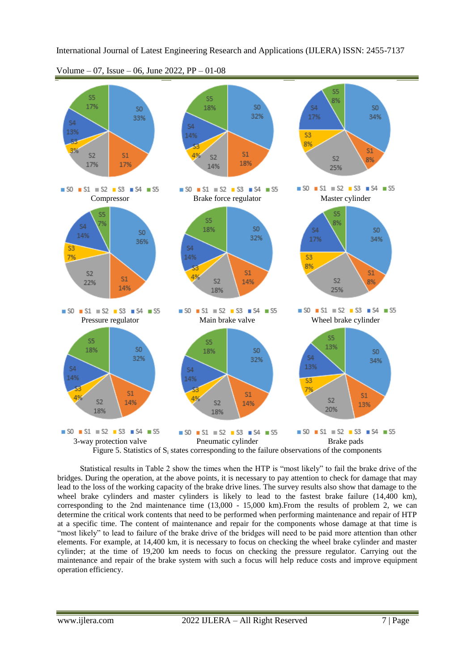

Volume – 07, Issue – 06, June 2022, PP – 01-08

 $\blacksquare$  SO  $\blacksquare$  S1  $\blacksquare$  S2  $\blacksquare$  S3  $\blacksquare$  S4  $\blacksquare$  S5 3-way protection valve Pneumatic cylinder Brake pads Figure 5. Statistics of  $S_i$  states corresponding to the failure observations of the components

Statistical results in Table 2 show the times when the HTP is "most likely" to fail the brake drive of the bridges. During the operation, at the above points, it is necessary to pay attention to check for damage that may lead to the loss of the working capacity of the brake drive lines. The survey results also show that damage to the wheel brake cylinders and master cylinders is likely to lead to the fastest brake failure (14,400 km), corresponding to the 2nd maintenance time  $(13,000 - 15,000 \text{ km})$ . From the results of problem 2, we can determine the critical work contents that need to be performed when performing maintenance and repair of HTP at a specific time. The content of maintenance and repair for the components whose damage at that time is "most likely" to lead to failure of the brake drive of the bridges will need to be paid more attention than other elements. For example, at 14,400 km, it is necessary to focus on checking the wheel brake cylinder and master cylinder; at the time of 19,200 km needs to focus on checking the pressure regulator. Carrying out the maintenance and repair of the brake system with such a focus will help reduce costs and improve equipment operation efficiency.

 $\blacksquare$  SO  $\blacksquare$  S1  $\blacksquare$  S2  $\blacksquare$  S3  $\blacksquare$  S4  $\blacksquare$  S5

 $\blacksquare$  SO  $\blacksquare$  S1  $\blacksquare$  S2  $\blacksquare$  S3  $\blacksquare$  S4  $\blacksquare$  S5